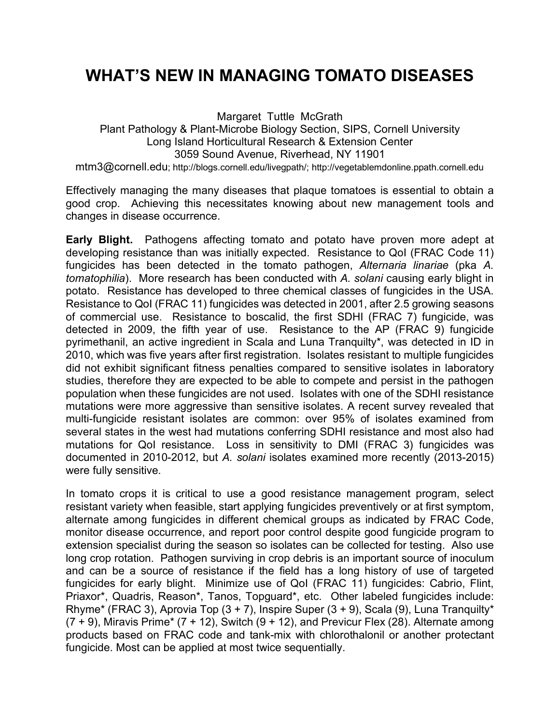## **WHAT'S NEW IN MANAGING TOMATO DISEASES**

Margaret Tuttle McGrath Plant Pathology & Plant-Microbe Biology Section, SIPS, Cornell University Long Island Horticultural Research & Extension Center 3059 Sound Avenue, Riverhead, NY 11901 mtm3@cornell.edu; http://blogs.cornell.edu/livegpath/; http://vegetablemdonline.ppath.cornell.edu

Effectively managing the many diseases that plaque tomatoes is essential to obtain a good crop. Achieving this necessitates knowing about new management tools and changes in disease occurrence.

**Early Blight.** Pathogens affecting tomato and potato have proven more adept at developing resistance than was initially expected. Resistance to QoI (FRAC Code 11) fungicides has been detected in the tomato pathogen, *Alternaria linariae* (pka *A. tomatophilia*). More research has been conducted with *A. solani* causing early blight in potato. Resistance has developed to three chemical classes of fungicides in the USA. Resistance to QoI (FRAC 11) fungicides was detected in 2001, after 2.5 growing seasons of commercial use. Resistance to boscalid, the first SDHI (FRAC 7) fungicide, was detected in 2009, the fifth year of use. Resistance to the AP (FRAC 9) fungicide pyrimethanil, an active ingredient in Scala and Luna Tranquilty\*, was detected in ID in 2010, which was five years after first registration. Isolates resistant to multiple fungicides did not exhibit significant fitness penalties compared to sensitive isolates in laboratory studies, therefore they are expected to be able to compete and persist in the pathogen population when these fungicides are not used. Isolates with one of the SDHI resistance mutations were more aggressive than sensitive isolates. A recent survey revealed that multi-fungicide resistant isolates are common: over 95% of isolates examined from several states in the west had mutations conferring SDHI resistance and most also had mutations for QoI resistance. Loss in sensitivity to DMI (FRAC 3) fungicides was documented in 2010-2012, but *A. solani* isolates examined more recently (2013-2015) were fully sensitive.

In tomato crops it is critical to use a good resistance management program, select resistant variety when feasible, start applying fungicides preventively or at first symptom, alternate among fungicides in different chemical groups as indicated by FRAC Code, monitor disease occurrence, and report poor control despite good fungicide program to extension specialist during the season so isolates can be collected for testing. Also use long crop rotation. Pathogen surviving in crop debris is an important source of inoculum and can be a source of resistance if the field has a long history of use of targeted fungicides for early blight. Minimize use of QoI (FRAC 11) fungicides: Cabrio, Flint, Priaxor\*, Quadris, Reason\*, Tanos, Topguard\*, etc. Other labeled fungicides include: Rhyme\* (FRAC 3), Aprovia Top  $(3 + 7)$ , Inspire Super  $(3 + 9)$ , Scala  $(9)$ , Luna Tranquilty\*  $(7 + 9)$ , Miravis Prime\*  $(7 + 12)$ , Switch  $(9 + 12)$ , and Previcur Flex (28). Alternate among products based on FRAC code and tank-mix with chlorothalonil or another protectant fungicide. Most can be applied at most twice sequentially.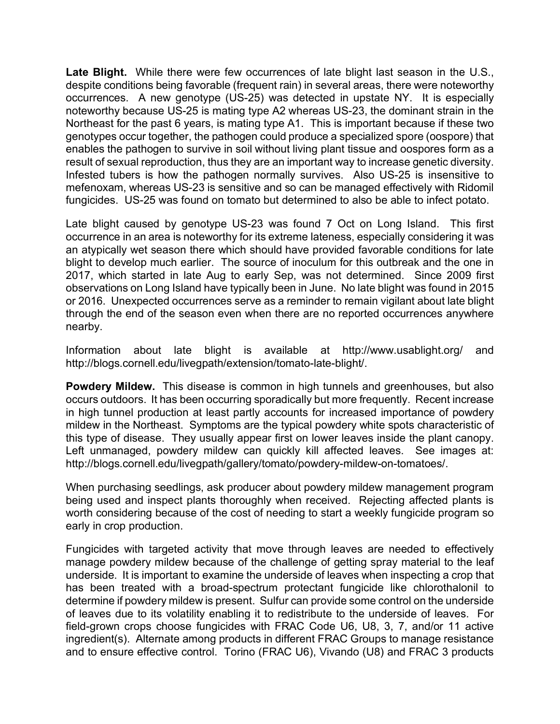Late Blight. While there were few occurrences of late blight last season in the U.S., despite conditions being favorable (frequent rain) in several areas, there were noteworthy occurrences. A new genotype (US-25) was detected in upstate NY. It is especially noteworthy because US-25 is mating type A2 whereas US-23, the dominant strain in the Northeast for the past 6 years, is mating type A1. This is important because if these two genotypes occur together, the pathogen could produce a specialized spore (oospore) that enables the pathogen to survive in soil without living plant tissue and oospores form as a result of sexual reproduction, thus they are an important way to increase genetic diversity. Infested tubers is how the pathogen normally survives. Also US-25 is insensitive to mefenoxam, whereas US-23 is sensitive and so can be managed effectively with Ridomil fungicides. US-25 was found on tomato but determined to also be able to infect potato.

Late blight caused by genotype US-23 was found 7 Oct on Long Island. This first occurrence in an area is noteworthy for its extreme lateness, especially considering it was an atypically wet season there which should have provided favorable conditions for late blight to develop much earlier. The source of inoculum for this outbreak and the one in 2017, which started in late Aug to early Sep, was not determined. Since 2009 first observations on Long Island have typically been in June. No late blight was found in 2015 or 2016. Unexpected occurrences serve as a reminder to remain vigilant about late blight through the end of the season even when there are no reported occurrences anywhere nearby.

Information about late blight is available at http://www.usablight.org/ and http://blogs.cornell.edu/livegpath/extension/tomato-late-blight/.

**Powdery Mildew.** This disease is common in high tunnels and greenhouses, but also occurs outdoors. It has been occurring sporadically but more frequently. Recent increase in high tunnel production at least partly accounts for increased importance of powdery mildew in the Northeast. Symptoms are the typical powdery white spots characteristic of this type of disease. They usually appear first on lower leaves inside the plant canopy. Left unmanaged, powdery mildew can quickly kill affected leaves. See images at: http://blogs.cornell.edu/livegpath/gallery/tomato/powdery-mildew-on-tomatoes/.

When purchasing seedlings, ask producer about powdery mildew management program being used and inspect plants thoroughly when received. Rejecting affected plants is worth considering because of the cost of needing to start a weekly fungicide program so early in crop production.

Fungicides with targeted activity that move through leaves are needed to effectively manage powdery mildew because of the challenge of getting spray material to the leaf underside. It is important to examine the underside of leaves when inspecting a crop that has been treated with a broad-spectrum protectant fungicide like chlorothalonil to determine if powdery mildew is present. Sulfur can provide some control on the underside of leaves due to its volatility enabling it to redistribute to the underside of leaves. For field-grown crops choose fungicides with FRAC Code U6, U8, 3, 7, and/or 11 active ingredient(s). Alternate among products in different FRAC Groups to manage resistance and to ensure effective control. Torino (FRAC U6), Vivando (U8) and FRAC 3 products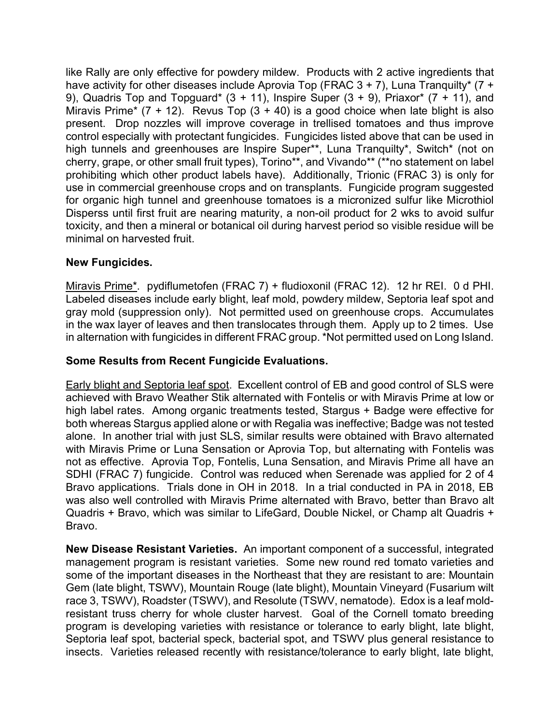like Rally are only effective for powdery mildew. Products with 2 active ingredients that have activity for other diseases include Aprovia Top (FRAC  $3 + 7$ ), Luna Tranquilty\* (7 + 9), Quadris Top and Topguard\*  $(3 + 11)$ , Inspire Super  $(3 + 9)$ , Priaxor\*  $(7 + 11)$ , and Miravis Prime\* (7 + 12). Revus Top (3 + 40) is a good choice when late blight is also present. Drop nozzles will improve coverage in trellised tomatoes and thus improve control especially with protectant fungicides. Fungicides listed above that can be used in high tunnels and greenhouses are Inspire Super\*\*, Luna Tranquilty\*, Switch\* (not on cherry, grape, or other small fruit types), Torino\*\*, and Vivando\*\* (\*\*no statement on label prohibiting which other product labels have). Additionally, Trionic (FRAC 3) is only for use in commercial greenhouse crops and on transplants. Fungicide program suggested for organic high tunnel and greenhouse tomatoes is a micronized sulfur like Microthiol Disperss until first fruit are nearing maturity, a non-oil product for 2 wks to avoid sulfur toxicity, and then a mineral or botanical oil during harvest period so visible residue will be minimal on harvested fruit.

## **New Fungicides.**

Miravis Prime\*. pydiflumetofen (FRAC 7) + fludioxonil (FRAC 12). 12 hr REI. 0 d PHI. Labeled diseases include early blight, leaf mold, powdery mildew, Septoria leaf spot and gray mold (suppression only). Not permitted used on greenhouse crops. Accumulates in the wax layer of leaves and then translocates through them. Apply up to 2 times. Use in alternation with fungicides in different FRAC group. \*Not permitted used on Long Island.

## **Some Results from Recent Fungicide Evaluations.**

Early blight and Septoria leaf spot. Excellent control of EB and good control of SLS were achieved with Bravo Weather Stik alternated with Fontelis or with Miravis Prime at low or high label rates. Among organic treatments tested, Stargus + Badge were effective for both whereas Stargus applied alone or with Regalia was ineffective; Badge was not tested alone. In another trial with just SLS, similar results were obtained with Bravo alternated with Miravis Prime or Luna Sensation or Aprovia Top, but alternating with Fontelis was not as effective. Aprovia Top, Fontelis, Luna Sensation, and Miravis Prime all have an SDHI (FRAC 7) fungicide. Control was reduced when Serenade was applied for 2 of 4 Bravo applications. Trials done in OH in 2018. In a trial conducted in PA in 2018, EB was also well controlled with Miravis Prime alternated with Bravo, better than Bravo alt Quadris + Bravo, which was similar to LifeGard, Double Nickel, or Champ alt Quadris + Bravo.

**New Disease Resistant Varieties.** An important component of a successful, integrated management program is resistant varieties. Some new round red tomato varieties and some of the important diseases in the Northeast that they are resistant to are: Mountain Gem (late blight, TSWV), Mountain Rouge (late blight), Mountain Vineyard (Fusarium wilt race 3, TSWV), Roadster (TSWV), and Resolute (TSWV, nematode). Edox is a leaf moldresistant truss cherry for whole cluster harvest. Goal of the Cornell tomato breeding program is developing varieties with resistance or tolerance to early blight, late blight, Septoria leaf spot, bacterial speck, bacterial spot, and TSWV plus general resistance to insects. Varieties released recently with resistance/tolerance to early blight, late blight,